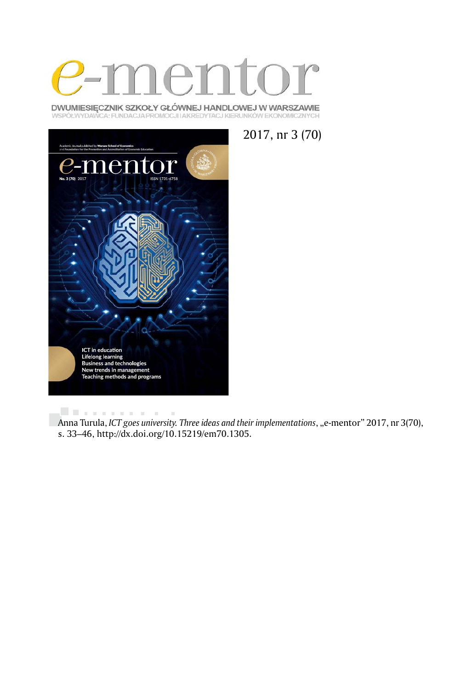

DWUMIESIĘCZNIK SZKOŁY GŁÓWNEJ HANDLOWEJ W WARSZAWIE WSPÓŁWYDAWCA: FUNDACJA PROMOCJI I AKREDYTACJ KIERUNKÓW EKONOMICZNYCH





. . . . . . . . . .  $\bar{\phantom{a}}$ Anna Turula, *ICT goes university. Three ideas and their implementations*, "e-mentor" 2017, nr 3(70), s. 33–46, http://dx.doi.org/10.15219/em70.1305.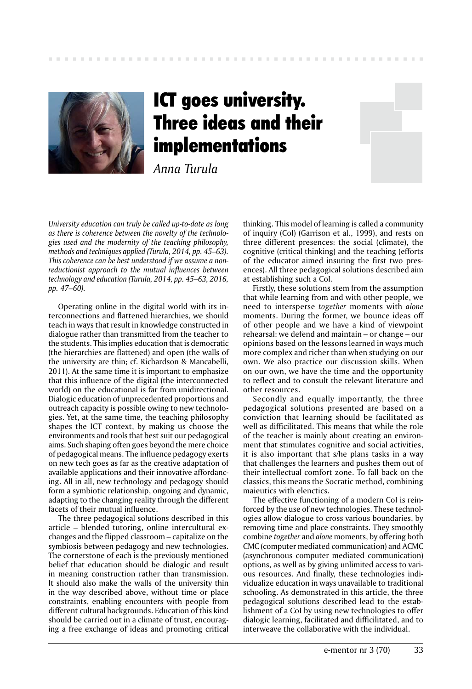

# ICT goes university. Three ideas and their implementations

*Anna Turula*

*University education can truly be called up-to-date as long as there is coherence between the novelty of the technologies used and the modernity of the teaching philosophy, methods and techniques applied (Turula, 2014, pp. 45–63). This coherence can be best understood if we assume a nonreductionist approach to the mutual influences between technology and education (Turula, 2014, pp. 45–63, 2016, pp. 47–60).* 

Operating online in the digital world with its interconnections and flattened hierarchies, we should teach in ways that result in knowledge constructed in dialogue rather than transmitted from the teacher to the students. This implies education that is democratic (the hierarchies are flattened) and open (the walls of the university are thin; cf. Richardson & Mancabelli, 2011). At the same time it is important to emphasize that this influence of the digital (the interconnected world) on the educational is far from unidirectional. Dialogic education of unprecedented proportions and outreach capacity is possible owing to new technologies. Yet, at the same time, the teaching philosophy shapes the ICT context, by making us choose the environments and tools that best suit our pedagogical aims. Such shaping often goes beyond the mere choice of pedagogical means. The influence pedagogy exerts on new tech goes as far as the creative adaptation of available applications and their innovative affordancing. All in all, new technology and pedagogy should form a symbiotic relationship, ongoing and dynamic, adapting to the changing reality through the different facets of their mutual influence.

The three pedagogical solutions described in this article – blended tutoring, online intercultural exchanges and the flipped classroom – capitalize on the symbiosis between pedagogy and new technologies. The cornerstone of each is the previously mentioned belief that education should be dialogic and result in meaning construction rather than transmission. It should also make the walls of the university thin in the way described above, without time or place constraints, enabling encounters with people from different cultural backgrounds. Education of this kind should be carried out in a climate of trust, encouraging a free exchange of ideas and promoting critical

thinking. This model of learning is called a community of inquiry (CoI) (Garrison et al., 1999), and rests on three different presences: the social (climate), the cognitive (critical thinking) and the teaching (efforts of the educator aimed insuring the first two presences). All three pedagogical solutions described aim at establishing such a CoI.

Firstly, these solutions stem from the assumption that while learning from and with other people, we need to intersperse *together* moments with *alone*  moments. During the former, we bounce ideas off of other people and we have a kind of viewpoint rehearsal: we defend and maintain – or change – our opinions based on the lessons learned in ways much more complex and richer than when studying on our own. We also practice our discussion skills. When on our own, we have the time and the opportunity to reflect and to consult the relevant literature and other resources.

Secondly and equally importantly, the three pedagogical solutions presented are based on a conviction that learning should be facilitated as well as difficilitated. This means that while the role of the teacher is mainly about creating an environment that stimulates cognitive and social activities, it is also important that s/he plans tasks in a way that challenges the learners and pushes them out of their intellectual comfort zone. To fall back on the classics, this means the Socratic method, combining maieutics with elenctics.

The effective functioning of a modern CoI is reinforced by the use of new technologies. These technologies allow dialogue to cross various boundaries, by removing time and place constraints. They smoothly combine *together* and *alone* moments, by offering both CMC (computer mediated communication) and ACMC (asynchronous computer mediated communication) options, as well as by giving unlimited access to various resources. And finally, these technologies individualize education in ways unavailable to traditional schooling. As demonstrated in this article, the three pedagogical solutions described lead to the establishment of a CoI by using new technologies to offer dialogic learning, facilitated and difficilitated, and to interweave the collaborative with the individual.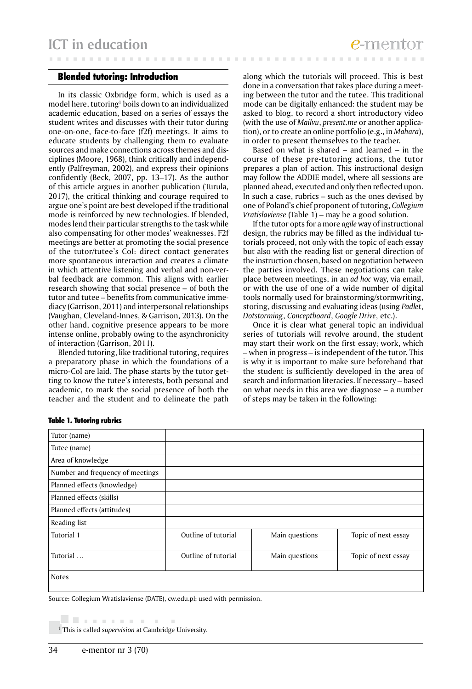# Blended tutoring: Introduction

In its classic Oxbridge form, which is used as a model here, tutoring<sup>1</sup> boils down to an individualized academic education, based on a series of essays the student writes and discusses with their tutor during one-on-one, face-to-face (f2f) meetings. It aims to educate students by challenging them to evaluate sources and make connections across themes and disciplines (Moore, 1968), think critically and independently (Palfreyman, 2002), and express their opinions confidently (Beck, 2007, pp. 13–17). As the author of this article argues in another publication (Turula, 2017), the critical thinking and courage required to argue one's point are best developed if the traditional mode is reinforced by new technologies. If blended, modes lend their particular strengths to the task while also compensating for other modes' weaknesses. F2f meetings are better at promoting the social presence of the tutor/tutee's CoI: direct contact generates more spontaneous interaction and creates a climate in which attentive listening and verbal and non-verbal feedback are common. This aligns with earlier research showing that social presence – of both the tutor and tutee – benefits from communicative immediacy (Garrison, 2011) and interpersonal relationships (Vaughan, Cleveland-Innes, & Garrison, 2013). On the other hand, cognitive presence appears to be more intense online, probably owing to the asynchronicity of interaction (Garrison, 2011).

Blended tutoring, like traditional tutoring, requires a preparatory phase in which the foundations of a micro-CoI are laid. The phase starts by the tutor getting to know the tutee's interests, both personal and academic, to mark the social presence of both the teacher and the student and to delineate the path along which the tutorials will proceed. This is best done in a conversation that takes place during a meeting between the tutor and the tutee. This traditional mode can be digitally enhanced: the student may be asked to blog, to record a short introductory video (with the use of *Mailvu*, *present.me* or another application), or to create an online portfolio (e.g., in *Mahara*), in order to present themselves to the teacher.

Based on what is shared – and learned – in the course of these pre-tutoring actions, the tutor prepares a plan of action. This instructional design may follow the ADDIE model, where all sessions are planned ahead, executed and only then reflected upon. In such a case, rubrics – such as the ones devised by one of Poland's chief proponent of tutoring, *Collegium Vratislaviense* (Table 1) – may be a good solution.

If the tutor opts for a more *agile* way of instructional design, the rubrics may be filled as the individual tutorials proceed, not only with the topic of each essay but also with the reading list or general direction of the instruction chosen, based on negotiation between the parties involved. These negotiations can take place between meetings, in an *ad hoc* way, via email, or with the use of one of a wide number of digital tools normally used for brainstorming/stormwriting, storing, discussing and evaluating ideas (using *Padlet*, *Dotstorming*, *Conceptboard*, *Google Drive*, etc.).

Once it is clear what general topic an individual series of tutorials will revolve around, the student may start their work on the first essay; work, which – when in progress – is independent of the tutor. This is why it is important to make sure beforehand that the student is sufficiently developed in the area of search and information literacies. If necessary – based on what needs in this area we diagnose – a number of steps may be taken in the following:

# Table 1. Tutoring rubrics

| Tutor (name)                     |                     |                |                     |
|----------------------------------|---------------------|----------------|---------------------|
| Tutee (name)                     |                     |                |                     |
| Area of knowledge                |                     |                |                     |
| Number and frequency of meetings |                     |                |                     |
| Planned effects (knowledge)      |                     |                |                     |
| Planned effects (skills)         |                     |                |                     |
| Planned effects (attitudes)      |                     |                |                     |
| Reading list                     |                     |                |                     |
| Tutorial 1                       | Outline of tutorial | Main questions | Topic of next essay |
| Tutorial                         | Outline of tutorial | Main questions | Topic of next essay |
| Notes                            |                     |                |                     |

Source: Collegium Wratislaviense (DATE), cw.edu.pl; used with permission.

. . . . . . . . . . 1 This is called *supervision* at Cambridge University.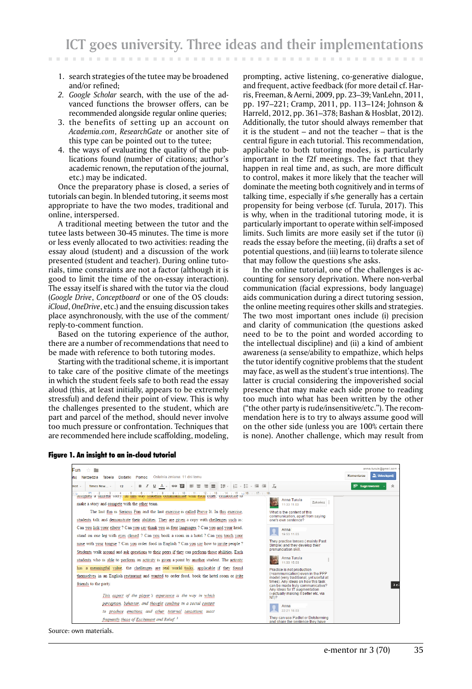- 1. search strategies of the tutee may be broadened and/or refined;
- *2. Google Scholar* search, with the use of the advanced functions the browser offers, can be recommended alongside regular online queries;
- 3. the benefits of setting up an account on *Academia.com*, *ResearchGate* or another site of this type can be pointed out to the tutee;
- 4. the ways of evaluating the quality of the publications found (number of citations; author's academic renown, the reputation of the journal, etc.) may be indicated.

Once the preparatory phase is closed, a series of tutorials can begin. In blended tutoring, it seems most appropriate to have the two modes, traditional and online, interspersed.

A traditional meeting between the tutor and the tutee lasts between 30-45 minutes. The time is more or less evenly allocated to two activities: reading the essay aloud (student) and a discussion of the work presented (student and teacher). During online tutorials, time constraints are not a factor (although it is good to limit the time of the on-essay interaction). The essay itself is shared with the tutor via the cloud (*Google Drive*, *Conceptboard* or one of the OS clouds: *iCloud*, *OneDrive*, etc.) and the ensuing discussion takes place asynchronously, with the use of the comment/ reply-to-comment function.

Based on the tutoring experience of the author, there are a number of recommendations that need to be made with reference to both tutoring modes.

Starting with the traditional scheme, it is important to take care of the positive climate of the meetings in which the student feels safe to both read the essay aloud (this, at least initially, appears to be extremely stressful) and defend their point of view. This is why the challenges presented to the student, which are part and parcel of the method, should never involve too much pressure or confrontation. Techniques that are recommended here include scaffolding, modeling,

Figure 1. An insight to an in-cloud tutorial

prompting, active listening, co-generative dialogue, and frequent, active feedback (for more detail cf. Harris, Freeman, & Aerni, 2009, pp. 23–39; VanLehn, 2011, pp. 197–221; Cramp, 2011, pp. 113–124; Johnson & Harreld, 2012, pp. 361–378; Bashan & Hosblat, 2012). Additionally, the tutor should always remember that it is the student – and not the teacher – that is the central figure in each tutorial. This recommendation, applicable to both tutoring modes, is particularly important in the f2f meetings. The fact that they happen in real time and, as such, are more difficult to control, makes it more likely that the teacher will dominate the meeting both cognitively and in terms of talking time, especially if s/he generally has a certain propensity for being verbose (cf. Turula, 2017). This is why, when in the traditional tutoring mode, it is particularly important to operate within self-imposed limits. Such limits are more easily set if the tutor (i) reads the essay before the meeting, (ii) drafts a set of potential questions, and (iii) learns to tolerate silence that may follow the questions s/he asks.

In the online tutorial, one of the challenges is accounting for sensory deprivation. Where non-verbal communication (facial expressions, body language) aids communication during a direct tutoring session, the online meeting requires other skills and strategies. The two most important ones include (i) precision and clarity of communication (the questions asked need to be to the point and worded according to the intellectual discipline) and (ii) a kind of ambient awareness (a sense/ability to empathize, which helps the tutor identify cognitive problems that the student may face, as well as the student's true intentions). The latter is crucial considering the impoverished social presence that may make each side prone to reading too much into what has been written by the other ("the other party is rude/insensitive/etc."). The recommendation here is to try to always assume good will on the other side (unless you are 100% certain there is none). Another challenge, which may result from

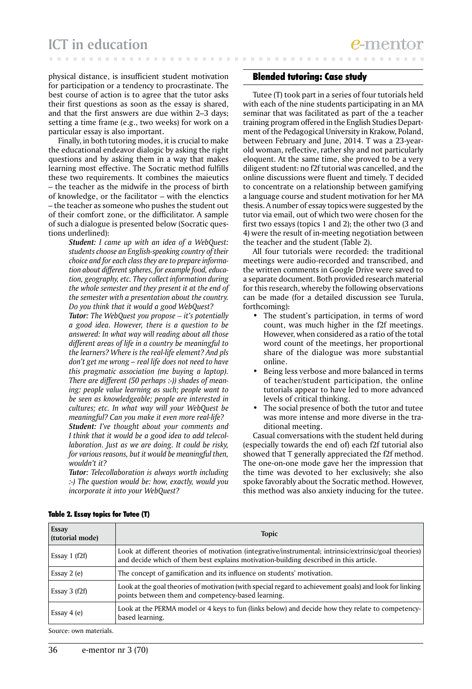physical distance, is insufficient student motivation for participation or a tendency to procrastinate. The best course of action is to agree that the tutor asks their first questions as soon as the essay is shared, and that the first answers are due within 2–3 days; setting a time frame (e.g., two weeks) for work on a particular essay is also important.

Finally, in both tutoring modes, it is crucial to make the educational endeavor dialogic by asking the right questions and by asking them in a way that makes learning most effective. The Socratic method fulfills these two requirements. It combines the maieutics – the teacher as the midwife in the process of birth of knowledge, or the facilitator – with the elenctics – the teacher as someone who pushes the student out of their comfort zone, or the difficilitator. A sample of such a dialogue is presented below (Socratic questions underlined):

> *Student: I came up with an idea of a WebQuest: students choose an English-speaking country of their choice and for each class they are to prepare information about different spheres, for example food, education, geography, etc. They collect information during the whole semester and they present it at the end of the semester with a presentation about the country. Do you think that it would a good WebQuest?*

> *Tutor: The WebQuest you propose – it's potentially a good idea. However, there is a question to be answered: In what way will reading about all those different areas of life in a country be meaningful to the learners? Where is the real-life element? And pls don't get me wrong -- real life does not need to have this pragmatic association (me buying a laptop). There are different (50 perhaps :-)) shades of meaning: people value learning as such; people want to be seen as knowledgeable; people are interested in cultures; etc. In what way will your WebQuest be meaningful? Can you make it even more real-life? Student: I've thought about your comments and I think that it would be a good idea to add telecollaboration. Just as we are doing. It could be risky, for various reasons, but it would be meaningful then, wouldn't it?*

> *Tutor: Telecollaboration is always worth including :-) The question would be: how, exactly, would you incorporate it into your WebQuest?*

# Blended tutoring: Case study

Tutee (T) took part in a series of four tutorials held with each of the nine students participating in an MA seminar that was facilitated as part of the a teacher training program offered in the English Studies Department of the Pedagogical University in Krakow, Poland, between February and June, 2014. T was a 23-yearold woman, reflective, rather shy and not particularly eloquent. At the same time, she proved to be a very diligent student: no f2f tutorial was cancelled, and the online discussions were fluent and timely. T decided to concentrate on a relationship between gamifying a language course and student motivation for her MA thesis. A number of essay topics were suggested by the tutor via email, out of which two were chosen for the first two essays (topics 1 and 2); the other two (3 and 4) were the result of in-meeting negotiation between the teacher and the student (Table 2).

All four tutorials were recorded: the traditional meetings were audio-recorded and transcribed, and the written comments in Google Drive were saved to a separate document. Both provided research material for this research, whereby the following observations can be made (for a detailed discussion see Turula, forthcoming):

- The student's participation, in terms of word count, was much higher in the f2f meetings. However, when considered as a ratio of the total word count of the meetings, her proportional share of the dialogue was more substantial online.
- Being less verbose and more balanced in terms of teacher/student participation, the online tutorials appear to have led to more advanced levels of critical thinking.
- The social presence of both the tutor and tutee was more intense and more diverse in the traditional meeting.

Casual conversations with the student held during (especially towards the end of) each f2f tutorial also showed that T generally appreciated the f2f method. The one-on-one mode gave her the impression that the time was devoted to her exclusively; she also spoke favorably about the Socratic method. However, this method was also anxiety inducing for the tutee.

| <b>Topic</b>                                                                                                                                                                                    |
|-------------------------------------------------------------------------------------------------------------------------------------------------------------------------------------------------|
| Look at different theories of motivation (integrative/instrumental; intrinsic/extrinsic/goal theories)<br>and decide which of them best explains motivation-building described in this article. |
| The concept of gamification and its influence on students' motivation.                                                                                                                          |
| Look at the goal theories of motivation (with special regard to achievement goals) and look for linking<br>points between them and competency-based learning.                                   |
| Look at the PERMA model or 4 keys to fun (links below) and decide how they relate to competency-<br>based learning.                                                                             |
|                                                                                                                                                                                                 |

### Table 2. Essay topics for Tutee (T)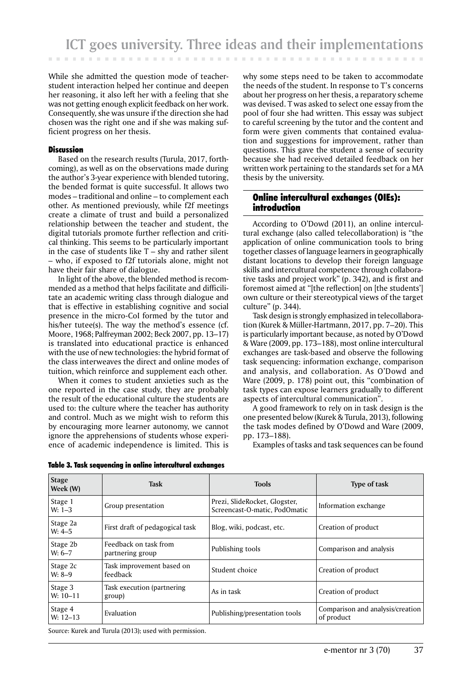While she admitted the question mode of teacherstudent interaction helped her continue and deepen her reasoning, it also left her with a feeling that she was not getting enough explicit feedback on her work. Consequently, she was unsure if the direction she had chosen was the right one and if she was making sufficient progress on her thesis.

# **Discussion**

Based on the research results (Turula, 2017, forthcoming), as well as on the observations made during the author's 3-year experience with blended tutoring, the bended format is quite successful. It allows two modes – traditional and online – to complement each other. As mentioned previously, while f2f meetings create a climate of trust and build a personalized relationship between the teacher and student, the digital tutorials promote further reflection and critical thinking. This seems to be particularly important in the case of students like  $T - s$ hy and rather silent – who, if exposed to f2f tutorials alone, might not have their fair share of dialogue.

In light of the above, the blended method is recommended as a method that helps facilitate and difficilitate an academic writing class through dialogue and that is effective in establishing cognitive and social presence in the micro-CoI formed by the tutor and his/her tutee(s). The way the method's essence (cf. Moore, 1968; Palfreyman 2002; Beck 2007, pp. 13–17) is translated into educational practice is enhanced with the use of new technologies: the hybrid format of the class interweaves the direct and online modes of tuition, which reinforce and supplement each other.

When it comes to student anxieties such as the one reported in the case study, they are probably the result of the educational culture the students are used to: the culture where the teacher has authority and control. Much as we might wish to reform this by encouraging more learner autonomy, we cannot ignore the apprehensions of students whose experience of academic independence is limited. This is

why some steps need to be taken to accommodate the needs of the student. In response to T's concerns about her progress on her thesis, a reparatory scheme was devised. T was asked to select one essay from the pool of four she had written. This essay was subject to careful screening by the tutor and the content and form were given comments that contained evaluation and suggestions for improvement, rather than questions. This gave the student a sense of security because she had received detailed feedback on her written work pertaining to the standards set for a MA thesis by the university.

# Online intercultural exchanges (OIEs): introduction

According to O'Dowd (2011), an online intercultural exchange (also called telecollaboration) is "the application of online communication tools to bring together classes of language learners in geographically distant locations to develop their foreign language skills and intercultural competence through collaborative tasks and project work" (p. 342), and is first and foremost aimed at "[the reflection] on [the students'] own culture or their stereotypical views of the target culture" (p. 344).

Task design is strongly emphasized in telecollaboration (Kurek & Müller-Hartmann, 2017, pp. 7–20). This is particularly important because, as noted by O'Dowd & Ware (2009, pp. 173–188), most online intercultural exchanges are task-based and observe the following task sequencing: information exchange, comparison and analysis, and collaboration. As O'Dowd and Ware (2009, p. 178) point out, this "combination of task types can expose learners gradually to different aspects of intercultural communication".

A good framework to rely on in task design is the one presented below (Kurek & Turula, 2013), following the task modes defined by O'Dowd and Ware (2009, pp. 173–188).

Examples of tasks and task sequences can be found

| <b>Stage</b><br>Week (W) | <b>Task</b>                               | <b>Tools</b>                                                   | Type of task                                   |
|--------------------------|-------------------------------------------|----------------------------------------------------------------|------------------------------------------------|
| Stage 1<br>$W: 1-3$      | Group presentation                        | Prezi, SlideRocket, Glogster,<br>Screencast-O-matic, PodOmatic | Information exchange                           |
| Stage 2a<br>$W: 4-5$     | First draft of pedagogical task           | Blog, wiki, podcast, etc.                                      | Creation of product                            |
| Stage 2b<br>$W: 6-7$     | Feedback on task from<br>partnering group | Publishing tools                                               | Comparison and analysis                        |
| Stage 2c<br>W: 8–9       | Task improvement based on<br>feedback     | Student choice                                                 | Creation of product                            |
| Stage 3<br>$W: 10-11$    | Task execution (partnering<br>group)      | As in task                                                     | Creation of product                            |
| Stage 4<br>$W: 12-13$    | Evaluation                                | Publishing/presentation tools                                  | Comparison and analysis/creation<br>of product |

# Table 3. Task sequencing in online intercultural exchanges

Source: Kurek and Turula (2013); used with permission.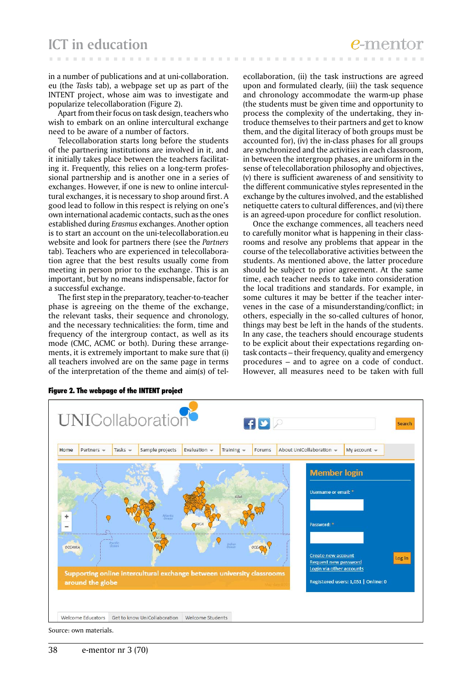in a number of publications and at uni-collaboration. eu (the *Tasks* tab), a webpage set up as part of the INTENT project, whose aim was to investigate and popularize telecollaboration (Figure 2).

Apart from their focus on task design, teachers who wish to embark on an online intercultural exchange need to be aware of a number of factors.

Telecollaboration starts long before the students of the partnering institutions are involved in it, and it initially takes place between the teachers facilitating it. Frequently, this relies on a long-term professional partnership and is another one in a series of exchanges. However, if one is new to online intercultural exchanges, it is necessary to shop around first. A good lead to follow in this respect is relying on one's own international academic contacts, such as the ones established during *Erasmus* exchanges. Another option is to start an account on the uni-telecollaboration.eu website and look for partners there (see the *Partners* tab). Teachers who are experienced in telecollaboration agree that the best results usually come from meeting in person prior to the exchange. This is an important, but by no means indispensable, factor for a successful exchange.

The first step in the preparatory, teacher-to-teacher phase is agreeing on the theme of the exchange, the relevant tasks, their sequence and chronology, and the necessary technicalities: the form, time and frequency of the intergroup contact, as well as its mode (CMC, ACMC or both). During these arrangements, it is extremely important to make sure that (i) all teachers involved are on the same page in terms of the interpretation of the theme and aim(s) of telecollaboration, (ii) the task instructions are agreed upon and formulated clearly, (iii) the task sequence and chronology accommodate the warm-up phase (the students must be given time and opportunity to process the complexity of the undertaking, they introduce themselves to their partners and get to know them, and the digital literacy of both groups must be accounted for), (iv) the in-class phases for all groups are synchronized and the activities in each classroom, in between the intergroup phases, are uniform in the sense of telecollaboration philosophy and objectives, (v) there is sufficient awareness of and sensitivity to the different communicative styles represented in the exchange by the cultures involved, and the established netiquette caters to cultural differences, and (vi) there is an agreed-upon procedure for conflict resolution.

Once the exchange commences, all teachers need to carefully monitor what is happening in their classrooms and resolve any problems that appear in the course of the telecollaborative activities between the students. As mentioned above, the latter procedure should be subject to prior agreement. At the same time, each teacher needs to take into consideration the local traditions and standards. For example, in some cultures it may be better if the teacher intervenes in the case of a misunderstanding/conflict; in others, especially in the so-called cultures of honor, things may best be left in the hands of the students. In any case, the teachers should encourage students to be explicit about their expectations regarding ontask contacts – their frequency, quality and emergency procedures – and to agree on a code of conduct. However, all measures need to be taken with full



Figure 2. The webpage of the INTENT project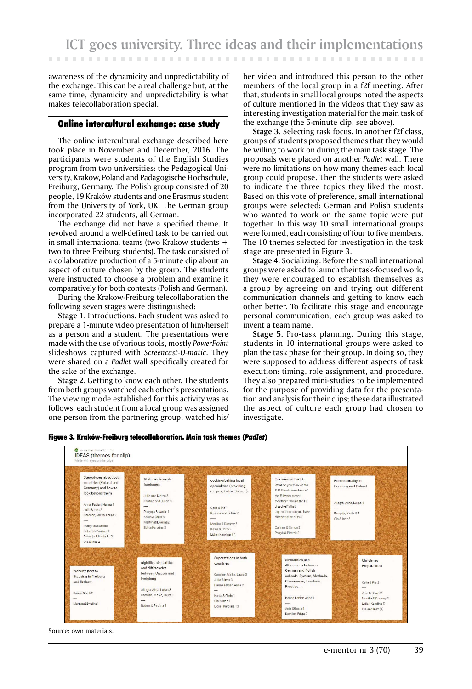awareness of the dynamicity and unpredictability of the exchange. This can be a real challenge but, at the same time, dynamicity and unpredictability is what makes telecollaboration special.

### Online intercultural exchange: case study

The online intercultural exchange described here took place in November and December, 2016. The participants were students of the English Studies program from two universities: the Pedagogical University, Krakow, Poland and Pädagogische Hochschule, Freiburg, Germany. The Polish group consisted of 20 people, 19 Kraków students and one Erasmus student from the University of York, UK. The German group incorporated 22 students, all German.

The exchange did not have a specified theme. It revolved around a well-defined task to be carried out in small international teams (two Krakow students  $+$ two to three Freiburg students). The task consisted of a collaborative production of a 5-minute clip about an aspect of culture chosen by the group. The students were instructed to choose a problem and examine it comparatively for both contexts (Polish and German).

During the Krakow-Freiburg telecollaboration the following seven stages were distinguished:

**Stage 1.** Introductions. Each student was asked to prepare a 1-minute video presentation of him/herself as a person and a student. The presentations were made with the use of various tools, mostly *PowerPoint* slideshows captured with *Screencast-O-matic*. They were shared on a *Padlet* wall specifically created for the sake of the exchange.

**Stage 2.** Getting to know each other. The students from both groups watched each other's presentations. The viewing mode established for this activity was as follows: each student from a local group was assigned one person from the partnering group, watched his/

her video and introduced this person to the other members of the local group in a f2f meeting. After that, students in small local groups noted the aspects of culture mentioned in the videos that they saw as interesting investigation material for the main task of the exchange (the 5-minute clip, see above).

**Stage 3.** Selecting task focus. In another f2f class, groups of students proposed themes that they would be willing to work on during the main task stage. The proposals were placed on another *Padlet* wall. There were no limitations on how many themes each local group could propose. Then the students were asked to indicate the three topics they liked the most. Based on this vote of preference, small international groups were selected: German and Polish students who wanted to work on the same topic were put together. In this way 10 small international groups were formed, each consisting of four to five members. The 10 themes selected for investigation in the task stage are presented in Figure 3.

**Stage 4.** Socializing. Before the small international groups were asked to launch their task-focused work, they were encouraged to establish themselves as a group by agreeing on and trying out different communication channels and getting to know each other better. To facilitate this stage and encourage personal communication, each group was asked to invent a team name.

**Stage 5.** Pro-task planning. During this stage, students in 10 international groups were asked to plan the task phase for their group. In doing so, they were supposed to address different aspects of task execution: timing, role assignment, and procedure. They also prepared mini-studies to be implemented for the purpose of providing data for the presentation and analysis for their clips; these data illustrated the aspect of culture each group had chosen to investigate.



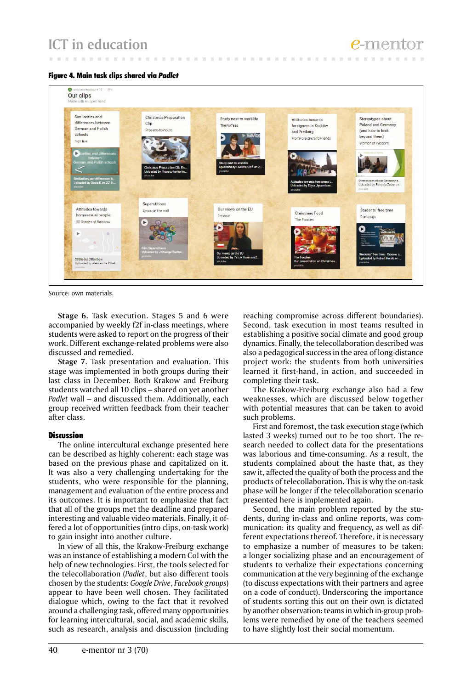Figure 4. Main task clips shared via *Padlet*



 $\sim$ 

**COLLECT**  $\sim$   $\sim$  10  $\pm$ 

Source: own materials.

**Stage 6.** Task execution. Stages 5 and 6 were accompanied by weekly f2f in-class meetings, where students were asked to report on the progress of their work. Different exchange-related problems were also discussed and remedied.

**Stage 7.** Task presentation and evaluation. This stage was implemented in both groups during their last class in December. Both Krakow and Freiburg students watched all 10 clips – shared on yet another *Padlet* wall – and discussed them. Additionally, each group received written feedback from their teacher after class.

# **Discussion**

The online intercultural exchange presented here can be described as highly coherent: each stage was based on the previous phase and capitalized on it. It was also a very challenging undertaking for the students, who were responsible for the planning, management and evaluation of the entire process and its outcomes. It is important to emphasize that fact that all of the groups met the deadline and prepared interesting and valuable video materials. Finally, it offered a lot of opportunities (intro clips, on-task work) to gain insight into another culture.

In view of all this, the Krakow-Freiburg exchange was an instance of establishing a modern CoI with the help of new technologies. First, the tools selected for the telecollaboration (*Padlet*, but also different tools chosen by the students: *Google Drive*, *Facebook groups*) appear to have been well chosen. They facilitated dialogue which, owing to the fact that it revolved around a challenging task, offered many opportunities for learning intercultural, social, and academic skills, such as research, analysis and discussion (including

reaching compromise across different boundaries). Second, task execution in most teams resulted in establishing a positive social climate and good group dynamics. Finally, the telecollaboration described was also a pedagogical success in the area of long-distance project work: the students from both universities learned it first-hand, in action, and succeeded in completing their task.

The Krakow-Freiburg exchange also had a few weaknesses, which are discussed below together with potential measures that can be taken to avoid such problems.

First and foremost, the task execution stage (which lasted 3 weeks) turned out to be too short. The research needed to collect data for the presentations was laborious and time-consuming. As a result, the students complained about the haste that, as they saw it, affected the quality of both the process and the products of telecollaboration. This is why the on-task phase will be longer if the telecollaboration scenario presented here is implemented again.

Second, the main problem reported by the students, during in-class and online reports, was communication: its quality and frequency, as well as different expectations thereof. Therefore, it is necessary to emphasize a number of measures to be taken: a longer socializing phase and an encouragement of students to verbalize their expectations concerning communication at the very beginning of the exchange (to discuss expectations with their partners and agree on a code of conduct). Underscoring the importance of students sorting this out on their own is dictated by another observation: teams in which in-group problems were remedied by one of the teachers seemed to have slightly lost their social momentum.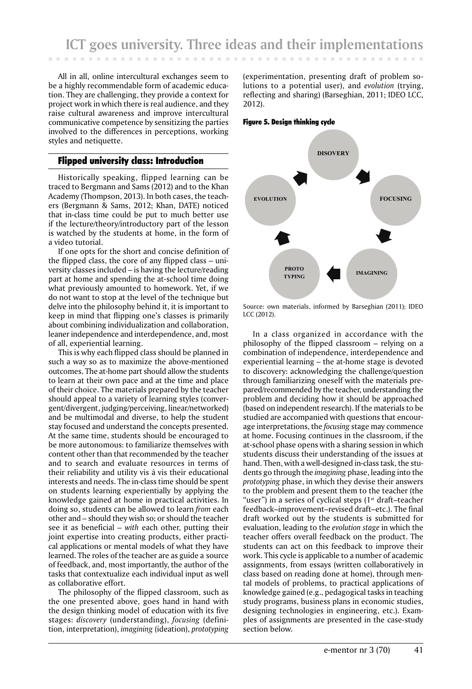All in all, online intercultural exchanges seem to be a highly recommendable form of academic education. They are challenging, they provide a context for project work in which there is real audience, and they raise cultural awareness and improve intercultural communicative competence by sensitizing the parties involved to the differences in perceptions, working styles and netiquette.

# Flipped university class: Introduction

Historically speaking, flipped learning can be traced to Bergmann and Sams (2012) and to the Khan Academy (Thompson, 2013). In both cases, the teachers (Bergmann & Sams, 2012; Khan, DATE) noticed that in-class time could be put to much better use if the lecture/theory/introductory part of the lesson is watched by the students at home, in the form of a video tutorial.

If one opts for the short and concise definition of the flipped class, the core of any flipped class – university classes included – is having the lecture/reading part at home and spending the at-school time doing what previously amounted to homework. Yet, if we do not want to stop at the level of the technique but delve into the philosophy behind it, it is important to keep in mind that flipping one's classes is primarily about combining individualization and collaboration, leaner independence and interdependence, and, most of all, experiential learning.

This is why each flipped class should be planned in such a way so as to maximize the above-mentioned outcomes. The at-home part should allow the students to learn at their own pace and at the time and place of their choice. The materials prepared by the teacher should appeal to a variety of learning styles (convergent/divergent, judging/perceiving, linear/networked) and be multimodal and diverse, to help the student stay focused and understand the concepts presented. At the same time, students should be encouraged to be more autonomous: to familiarize themselves with content other than that recommended by the teacher and to search and evaluate resources in terms of their reliability and utility vis à vis their educational interests and needs. The in-class time should be spent on students learning experientially by applying the knowledge gained at home in practical activities. In doing so, students can be allowed to learn *from* each other and – should they wish so; or should the teacher see it as beneficial – *with* each other, putting their joint expertise into creating products, either practical applications or mental models of what they have learned. The roles of the teacher are as guide a source of feedback, and, most importantly, the author of the tasks that contextualize each individual input as well as collaborative effort.

The philosophy of the flipped classroom, such as the one presented above, goes hand in hand with the design thinking model of education with its five stages: *discovery* (understanding), *focusing* (definition, interpretation), *imagining* (ideation), *prototyping*

(experimentation, presenting draft of problem solutions to a potential user), and *evolution* (trying, reflecting and sharing) (Barseghian, 2011; IDEO LCC, 2012).

Figure 5. Design thinking cycle



Source: own materials, informed by Barseghian (2011); IDEO LCC (2012).

In a class organized in accordance with the philosophy of the flipped classroom – relying on a combination of independence, interdependence and experiential learning – the at-home stage is devoted to discovery: acknowledging the challenge/question through familiarizing oneself with the materials prepared/recommended by the teacher, understanding the problem and deciding how it should be approached (based on independent research). If the materials to be studied are accompanied with questions that encourage interpretations, the *focusing* stage may commence at home. Focusing continues in the classroom, if the at-school phase opens with a sharing session in which students discuss their understanding of the issues at hand. Then, with a well-designed in-class task, the students go through the *imagining* phase, leading into the *prototyping* phase, in which they devise their answers to the problem and present them to the teacher (the "user") in a series of cyclical steps  $(1<sup>st</sup>$  draft–teacher feedback–improvement–revised draft–etc.). The final draft worked out by the students is submitted for evaluation, leading to the *evolution stage* in which the teacher offers overall feedback on the product. The students can act on this feedback to improve their work. This cycle is applicable to a number of academic assignments, from essays (written collaboratively in class based on reading done at home), through mental models of problems, to practical applications of knowledge gained (e.g., pedagogical tasks in teaching study programs, business plans in economic studies, designing technologies in engineering, etc.). Examples of assignments are presented in the case-study section below.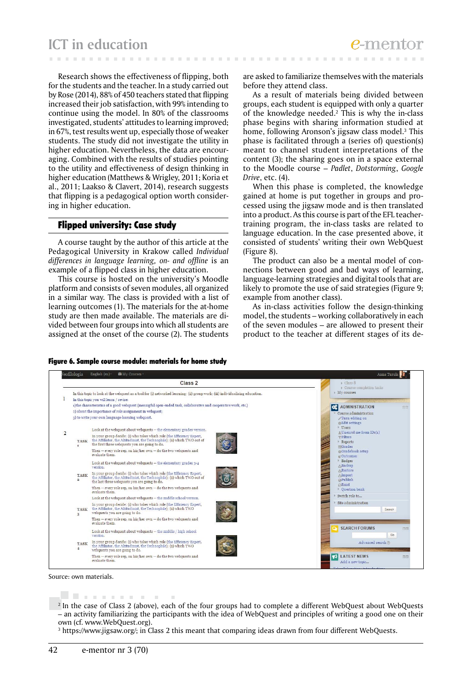Research shows the effectiveness of flipping, both for the students and the teacher. In a study carried out by Rose (2014), 88% of 450 teachers stated that flipping increased their job satisfaction, with 99% intending to continue using the model. In 80% of the classrooms investigated, students' attitudes to learning improved; in 67%, test results went up, especially those of weaker students. The study did not investigate the utility in higher education. Nevertheless, the data are encouraging. Combined with the results of studies pointing to the utility and effectiveness of design thinking in higher education (Matthews & Wrigley, 2011; Koria et al., 2011; Laakso & Clavert, 2014), research suggests that flipping is a pedagogical option worth considering in higher education.

# Flipped university: Case study

A course taught by the author of this article at the Pedagogical University in Krakow called *Individual differences in language learning, on- and offline* is an example of a flipped class in higher education.

This course is hosted on the university's Moodle platform and consists of seven modules, all organized in a similar way. The class is provided with a list of learning outcomes (1). The materials for the at-home study are then made available. The materials are divided between four groups into which all students are assigned at the onset of the course (2). The students

are asked to familiarize themselves with the materials before they attend class.

**CONTRACTOR**  $\sim$ 

As a result of materials being divided between groups, each student is equipped with only a quarter of the knowledge needed.2 This is why the in-class phase begins with sharing information studied at home, following Aronson's jigsaw class model.3 This phase is facilitated through a (series of) question(s) meant to channel student interpretations of the content (3); the sharing goes on in a space external to the Moodle course – *Padlet*, *Dotstorming*, *Google Drive*, etc. (4).

When this phase is completed, the knowledge gained at home is put together in groups and processed using the jigsaw mode and is then translated into a product. As this course is part of the EFL teachertraining program, the in-class tasks are related to language education. In the case presented above, it consisted of students' writing their own WebQuest (Figure 8).

The product can also be a mental model of connections between good and bad ways of learning, language-learning strategies and digital tools that are likely to promote the use of said strategies (Figure 9; example from another class).

As in-class activities follow the design-thinking model, the students – working collaboratively in each of the seven modules – are allowed to present their product to the teacher at different stages of its de-



Figure 6. Sample course module: materials for home study

 $\sim$ 

Source: own materials.

<u>. Die staans van die</u> <sup>2</sup> In the case of Class 2 (above), each of the four groups had to complete a different WebQuest about WebQuests – an activity familiarizing the participants with the idea of WebQuest and principles of writing a good one on their own (cf. www.WebQuest.org).

3 https://www.jigsaw.org/; in Class 2 this meant that comparing ideas drawn from four different WebQuests.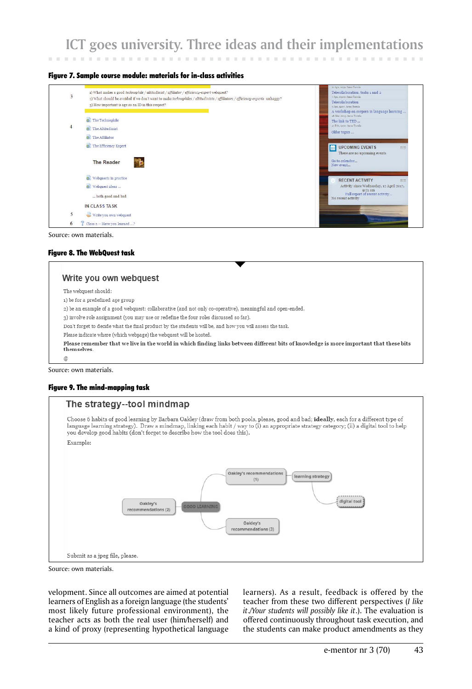# **ICT goes university. Three ideas and their implementations**

#### Figure 7. Sample course module: materials for in-class activities



Source: own materials.

### Figure 8. The WebQuest task

# Write you own webquest The webouest should: 1) be for a predefined age group 2) be an example of a good webquest: collaborative (and not only co-operative), meaningful and open-ended. 3) involve role assignment (you may use or redefine the four roles discussed so far). Don't forget to decide what the final product by the students will be, and how you will assess the task. Please indicate where (which webpage) the webquest will be hosted. Please remember that we live in the world in which finding links between different bits of knowledge is more important that these bits themselves  $\varnothing$

Source: own materials.

### Figure 9. The mind-mapping task



Source: own materials.

velopment. Since all outcomes are aimed at potential learners of English as a foreign language (the students' most likely future professional environment), the teacher acts as both the real user (him/herself) and a kind of proxy (representing hypothetical language

learners). As a result, feedback is offered by the teacher from these two different perspectives (*I like it*./*Your students will possibly like it*.). The evaluation is offered continuously throughout task execution, and the students can make product amendments as they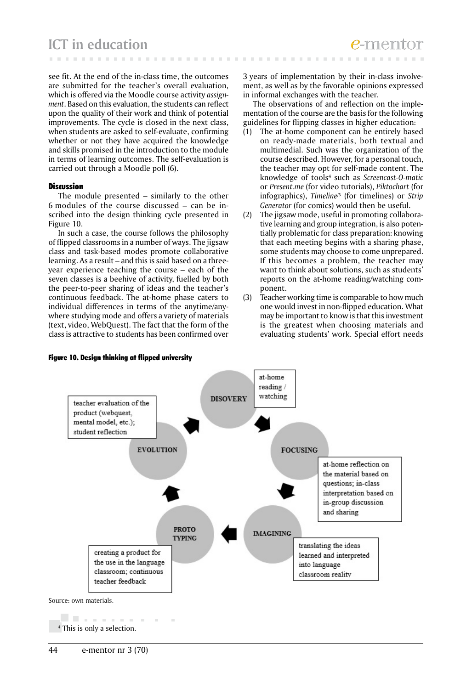see fit. At the end of the in-class time, the outcomes are submitted for the teacher's overall evaluation, which is offered via the Moodle course activity *assignment*. Based on this evaluation, the students can reflect upon the quality of their work and think of potential improvements. The cycle is closed in the next class, when students are asked to self-evaluate, confirming whether or not they have acquired the knowledge and skills promised in the introduction to the module in terms of learning outcomes. The self-evaluation is carried out through a Moodle poll (6).

### **Discussion**

The module presented – similarly to the other 6 modules of the course discussed – can be inscribed into the design thinking cycle presented in Figure 10.

In such a case, the course follows the philosophy of flipped classrooms in a number of ways. The jigsaw class and task-based modes promote collaborative learning. As a result – and this is said based on a threeyear experience teaching the course – each of the seven classes is a beehive of activity, fuelled by both the peer-to-peer sharing of ideas and the teacher's continuous feedback. The at-home phase caters to individual differences in terms of the anytime/anywhere studying mode and offers a variety of materials (text, video, WebQuest). The fact that the form of the class is attractive to students has been confirmed over

3 years of implementation by their in-class involvement, as well as by the favorable opinions expressed in informal exchanges with the teacher.

The observations of and reflection on the implementation of the course are the basis for the following guidelines for flipping classes in higher education:

- (1) The at-home component can be entirely based on ready-made materials, both textual and multimedial. Such was the organization of the course described. However, for a personal touch, the teacher may opt for self-made content. The knowledge of tools4 such as *Screencast-O-matic* or *Present.me* (for video tutorials), *Piktochart* (for infographics), *Timeline<sup>js</sup>* (for timelines) or *Strip Generator* (for comics) would then be useful.
- (2) The jigsaw mode, useful in promoting collaborative learning and group integration, is also potentially problematic for class preparation: knowing that each meeting begins with a sharing phase, some students may choose to come unprepared. If this becomes a problem, the teacher may want to think about solutions, such as students' reports on the at-home reading/watching component.
- (3) Teacher working time is comparable to how much one would invest in non-flipped education. What may be important to know is that this investment is the greatest when choosing materials and evaluating students' work. Special effort needs



# Figure 10. Design thinking at flipped university

4 This is only a selection.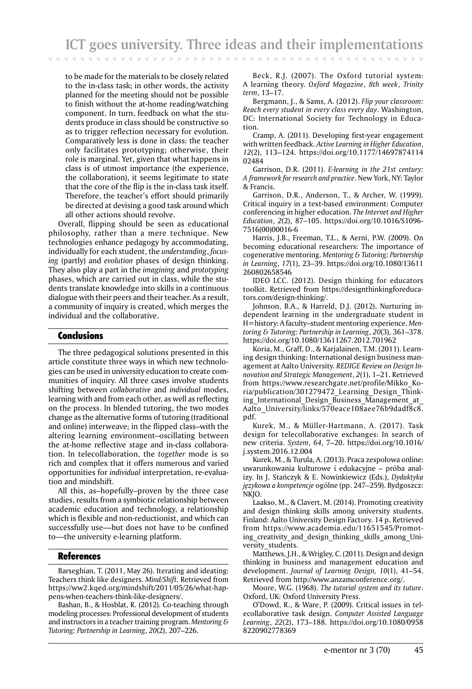to be made for the materials to be closely related to the in-class task; in other words, the activity planned for the meeting should not be possible to finish without the at-home reading/watching component. In turn, feedback on what the students produce in class should be constructive so as to trigger reflection necessary for evolution. Comparatively less is done in class: the teacher only facilitates prototyping; otherwise, their role is marginal. Yet, given that what happens in class is of utmost importance (the experience, the collaboration), it seems legitimate to state that the core of the flip is the in-class task itself. Therefore, the teacher's effort should primarily be directed at devising a good task around which all other actions should revolve.

Overall, flipping should be seen as educational philosophy, rather than a mere technique. New technologies enhance pedagogy by accommodating, individually for each student, the *understanding*, *focusing* (partly) and *evolution* phases of design thinking. They also play a part in the *imagining* and *prototyping* phases, which are carried out in class, while the students translate knowledge into skills in a continuous dialogue with their peers and their teacher. As a result, a community of inquiry is created, which merges the individual and the collaborative.

# Conclusions

The three pedagogical solutions presented in this article constitute three ways in which new technologies can be used in university education to create communities of inquiry. All three cases involve students shifting between *collaborative* and *individual* modes, learning with and from each other, as well as reflecting on the process. In blended tutoring, the two modes change as the alternative forms of tutoring (traditional and online) interweave; in the flipped class–with the altering learning environment–oscillating between the at-home reflective stage and in-class collaboration. In telecollaboration, the *together* mode is so rich and complex that it offers numerous and varied opportunities for *individual* interpretation, re-evaluation and mindshift.

All this, as–hopefully–proven by the three case studies, results from a symbiotic relationship between academic education and technology, a relationship which is flexible and non-reductionist, and which can successfully use—but does not have to be confined to—the university e-learning platform.

### References

Barseghian, T. (2011, May 26). Iterating and ideating: Teachers think like designers. *Mind/Shift.* Retrieved from https://ww2.kqed.org/mindshift/2011/05/26/what-happens-when-teachers-think-like-designers/.

Bashan, B., & Hosblat, R. (2012). Co-teaching through modeling processes: Professional development of students and instructors in a teacher training program. *Mentoring & Tutoring: Partnership in Learning*, *20*(2), 207–226.

Beck, R.J. (2007). The Oxford tutorial system: A learning theory. *Oxford Magazine*, *8th week*, *Trinity term*, 13–17.

Bergmann, J., & Sams, A. (2012). *Flip your classroom: Reach every student in every class every day*. Washington, DC: International Society for Technology in Education.

Cramp, A. (2011). Developing first-year engagement with written feedback. *Active Learning in Higher Education*, *12*(2), 113–124. https://doi.org/10.1177/14697874114 02484

Garrison, D.R. (2011). *E-learning in the 21st century: A framework for research and practice*. New York, NY: Taylor & Francis.

Garrison, D.R., Anderson, T., & Archer, W. (1999). Critical inquiry in a text-based environment: Computer conferencing in higher education. *The Internet and Higher Education*, *2*(2), 87–105. https://doi.org/10.1016/S1096- 7516(00)00016-6

Harris, J.B., Freeman, T.L., & Aerni, P.W. (2009). On becoming educational researchers: The importance of cogenerative mentoring. *Mentoring & Tutoring: Partnership in Learning*, *17*(1), 23–39. https://doi.org/10.1080/13611 260802658546

IDEO LCC. (2012). Design thinking for educators toolkit. Retrieved from https://designthinkingforeducators.com/design-thinking/.

Johnson, B.A., & Harreld, D.J. (2012). Nurturing independent learning in the undergraduate student in H=history: A faculty–student mentoring experience. *Mentoring & Tutoring: Partnership in Learning*, *20*(3), 361–378. https://doi.org/10.1080/13611267.2012.701962

Koria, M., Graff, D., & Karjalainen, T.M. (2011). Learning design thinking: International design business management at Aalto University. *REDIGE Review on Design Innovation and Strategic Management*, *2*(1), 1–21. Retrieved from https://www.researchgate.net/profile/Mikko\_Koria/publication/301279472\_Learning\_Design\_Thinking\_International\_Design\_Business\_Management\_at\_ Aalto University/links/570eace108aee76b9dadf8c8. pdf.

Kurek, M., & Müller-Hartmann, A. (2017). Task design for telecollaborative exchanges: In search of new criteria. *System*, *64*, 7–20. https://doi.org/10.1016/ j.system.2016.12.004

Kurek, M., & Turula, A. (2013). Praca zespołowa online: uwarunkowania kulturowe i edukacyjne – próba analizy. In J. Stańczyk & E. Nowinkiewicz (Eds.), *Dydaktyka językowa a kompetencje* ogólne (pp. 247–259). Bydgoszcz: NKJO.

Laakso, M., & Clavert, M. (2014). Promoting creativity and design thinking skills among university students. Finland: Aalto University Design Factory. 14 p. Retrieved from https://www.academia.edu/11651545/Promoting creativity and design thinking skills among University students.

Matthews, J.H., & Wrigley, C. (2011). Design and design thinking in business and management education and development. *Journal of Learning Design, 10*(1), 41–54. Retrieved from http://www.anzamconference.org/.

Moore, W.G. (1968). *The tutorial system and its tuture*. Oxford, UK: Oxford University Press.

O'Dowd, R., & Ware, P. (2009). Critical issues in telecollaborative task design. *Computer Assisted Language Learning*, *22*(2), 173–188. https://doi.org/10.1080/0958 8220902778369